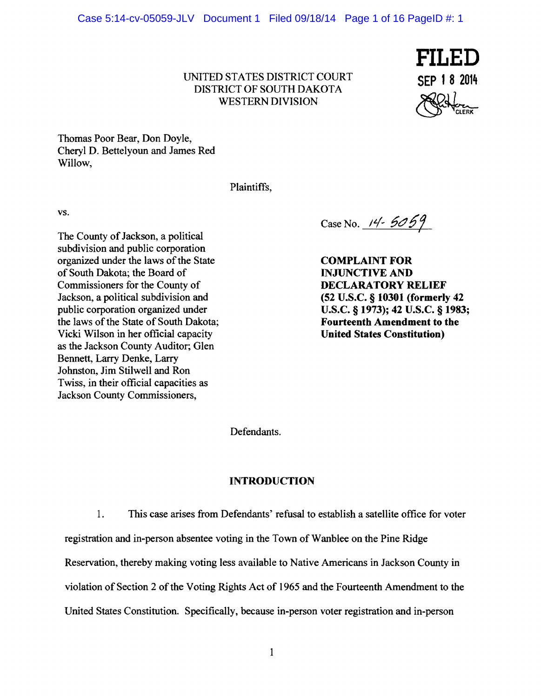Case 5:14-cv-05059-JLV Document 1 Filed 09/18/14 Page 1 of 16 PageID #: 1

UNITED STATES DISTRICT COURT **SEP 1 8 2014**  DISTRICT OF SOUTH DAKOTA WESTERN DIVISION



Thomas Poor Bear, Don Doyle, Cheryl D. Bettelyoun and James Red Willow,

Plaintiffs,

vs.

The County of Jackson, a political subdivision and public corporation organized under the laws of the State **COMPLAINT FOR** of South Dakota; the Board of **INJUNCTIVE AND** Commissioners for the County of **DECLARATORY RELIEF**<br>Jackson, a political subdivision and **DECLARATORY RELIEF** Jackson, a political subdivision and **(52** U.S.C. § **10301 (formerly 42**  the laws of the State of South Dakota; Vicki Wilson in her official capacity **United States Constitution)**  as the Jackson County Auditor; Glen Bennett, Larry Denke, Larry Johnston, Jim Stilwell and Ron Twiss, in their official capacities as Jackson County Commissioners,

Case No. <u>14 - 5059</u>

**U.S.C. § 1973); 42 U.S.C. § 1983; Fourteenth Amendment to the** 

Defendants.

## **INTRODUCTION**

1. This case arises from Defendants' refusal to establish a satellite office for voter registration and in-person absentee voting in the Town of Wanblee on the Pine Ridge Reservation, thereby making voting less available to Native Americans in Jackson County in violation of Section 2 of the Voting Rights Act of 1965 and the Fourteenth Amendment to the United States Constitution. Specifically, because in-person voter registration and in-person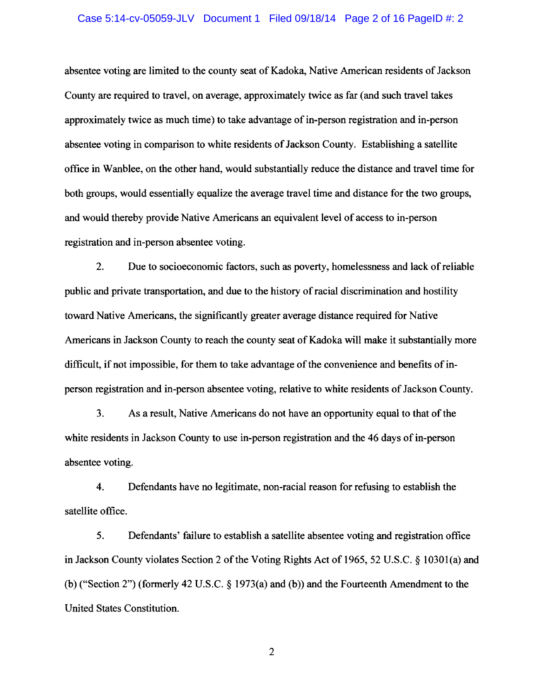#### Case 5:14-cv-05059-JLV Document 1 Filed 09/18/14 Page 2 of 16 PageID #: 2

absentee voting are limited to the county seat of Kadoka, Native American residents of Jackson County are required to travel, on average, approximately twice as far (and such travel takes approximately twice as much time) to take advantage of in-person registration and in-person absentee voting in comparison to white residents of Jackson County. Establishing a satellite office in Wanblee, on the other hand, would substantially reduce the distance and travel time for both groups, would essentially equalize the average travel time and distance for the two groups, and would thereby provide Native Americans an equivalent level of access to in-person registration and in-person absentee voting.

2. Due to socioeconomic factors, such as poverty, homelessness and lack ofreliable public and private transportation, and due to the history of racial discrimination and hostility toward Native Americans, the significantly greater average distance required for Native Americans in Jackson County to reach the county seat of Kadoka will make it substantially more difficult, if not impossible, for them to take advantage of the convenience and benefits of inperson registration and in-person absentee voting, relative to white residents of Jackson County.

3. As a result, Native Americans do not have an opportunity equal to that of the white residents in Jackson County to use in-person registration and the 46 days of in-person absentee voting.

4. Defendants have no legitimate, non-racial reason for refusing to establish the satellite office.

5. Defendants' failure to establish a satellite absentee voting and registration office in Jackson County violates Section 2 of the Voting Rights Act of 1965, 52 U.S.C.  $\S$  10301(a) and (b) ("Section 2") (formerly 42 U.S.C. § 1973(a) and (b)) and the Fourteenth Amendment to the United States Constitution.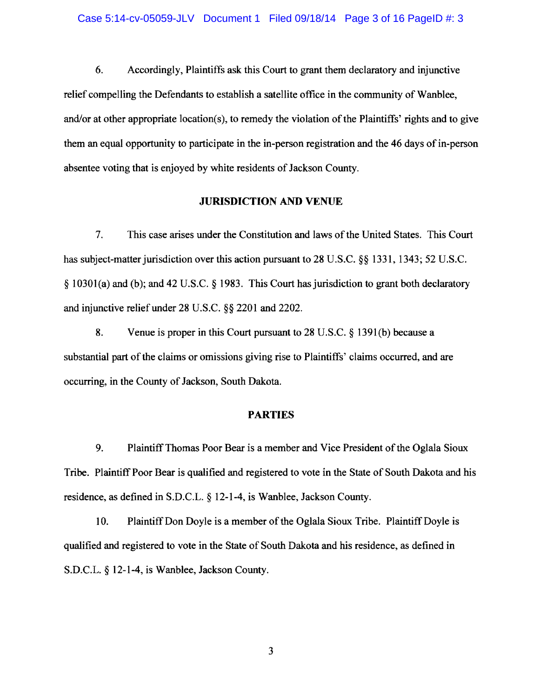#### Case 5:14-cv-05059-JLV Document 1 Filed 09/18/14 Page 3 of 16 PageID #: 3

6. Accordingly, Plaintiffs ask this Court to grant them declaratory and injunctive relief compelling the Defendants to establish a satellite office in the community of Wanblee, and/or at other appropriate location(s), to remedy the violation of the Plaintiffs' rights and to give them an equal opportunity to participate in the in-person registration and the 46 days of in-person absentee voting that is enjoyed by white residents of Jackson County.

## JURISDICTION AND VENUE

7. This case arises under the Constitution and laws of the United States. This Court has subject-matter jurisdiction over this action pursuant to 28 U.S.C. §§ 1331, 1343; 52 U.S.C. § 10301 (a) and (b); and 42 U.S.c. § 1983. This Court has jurisdiction to grant both declaratory and injunctive relief under 28 U.S.C. §§ 2201 and 2202.

8. Venue is proper in this Court pursuant to 28 U.S.C. § 1391 (b) because a substantial part of the claims or omissions giving rise to Plaintiffs' claims occurred, and are occurring, in the County of Jackson, South Dakota.

### PARTIES

9. Plaintiff Thomas Poor Bear is a member and Vice President of the Oglala Sioux Tribe. Plaintiff Poor Bear is qualified and registered to vote in the State of South Dakota and his residence, as defined in S.D.C.L. § 12-1-4, is Wanblee, Jackson County.

10. Plaintiff Don Doyle is a member of the Oglala Sioux Tribe. Plaintiff Doyle is qualified and registered to vote in the State of South Dakota and his residence, as defined in S.D.C.L. § 12-1-4, is Wanblee, Jackson County.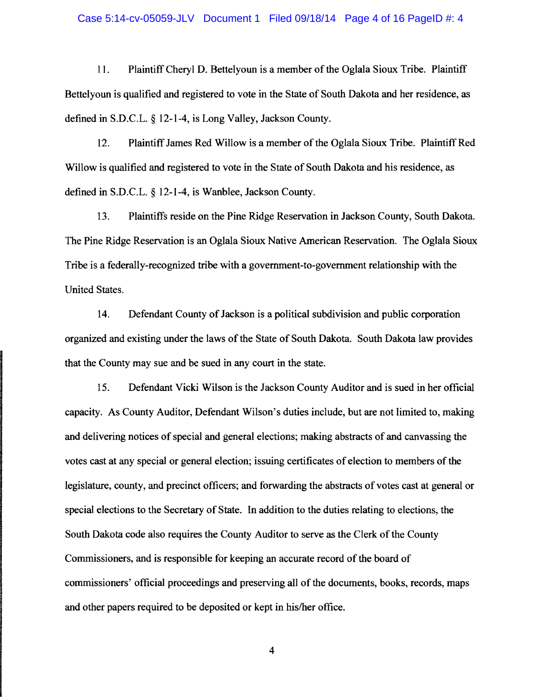#### Case 5:14-cv-05059-JLV Document 1 Filed 09/18/14 Page 4 of 16 PageID #: 4

11. Plaintiff Cheryl D. Bettelyoun is a member of the Oglala Sioux Tribe. Plaintiff Bettelyoun is qualified and registered to vote in the State of South Dakota and her residence, as defmed in S.D.C.L. § 12-1-4, is Long Valley, Jackson County.

12. Plaintiff James Red Willow is a member ofthe Oglala Sioux Tribe. Plaintiff Red Willow is qualified and registered to vote in the State of South Dakota and his residence, as defined in S.D.C.L. § 12-1-4, is Wanblee, Jackson County.

13. Plaintiffs reside on the Pine Ridge Reservation in Jackson County, South Dakota. The Pine Ridge Reservation is an Oglala Sioux Native American Reservation. The Oglala Sioux Tribe is a federally-recognized tribe with a government-to-government relationship with the United States.

14. Defendant County of Jackson is a political subdivision and public corporation organized and existing under the laws of the State of South Dakota. South Dakota law provides that the County may sue and be sued in any court in the state.

15. Defendant Vicki Wilson is the Jackson County Auditor and is sued in her official capacity. As County Auditor, Defendant Wilson's duties include, but are not limited to, making and delivering notices of special and general elections; making abstracts of and canvassing the votes cast at any special or general election; issuing certificates of election to members of the legislature, county, and precinct officers; and forwarding the abstracts of votes cast at general or special elections to the Secretary of State. In addition to the duties relating to elections, the South Dakota code also requires the County Auditor to serve as the Clerk of the County Commissioners, and is responsible for keeping an accurate record of the board of commissioners' official proceedings and preserving all of the documents, books, records, maps and other papers required to be deposited or kept in hislher office.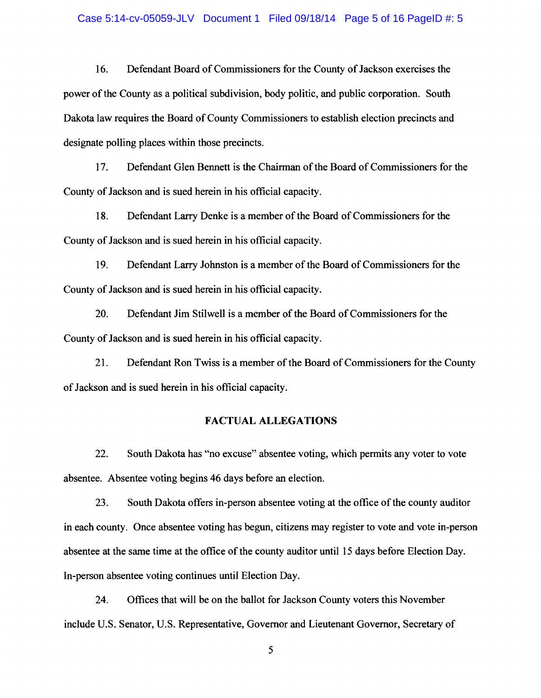#### Case 5:14-cv-05059-JLV Document 1 Filed 09/18/14 Page 5 of 16 PageID #: 5

16. Defendant Board of Commissioners for the County of Jackson exercises the power ofthe County as a political subdivision, body politic, and public corporation. South Dakota law requires the Board of County Commissioners to establish election precincts and designate polling places within those precincts.

17. Defendant Glen Bennett is the Chairman of the Board of Commissioners for the County of Jackson and is sued herein in his official capacity.

18. Defendant Larry Denke is a member of the Board of Commissioners for the County of Jackson and is sued herein in his official capacity.

19. Defendant Larry Johnston is a member of the Board of Commissioners for the County of Jackson and is sued herein in his official capacity.

20. Defendant Jim Stilwell is a member of the Board of Commissioners for the County of Jackson and is sued herein in his official capacity.

21. Defendant Ron Twiss is a member of the Board of Commissioners for the County of Jackson and is sued herein in his official capacity.

### FACTUAL ALLEGATIONS

22. South Dakota has "no excuse" absentee voting, which pennits any voter to vote absentee. Absentee voting begins 46 days before an election.

23. South Dakota offers in-person absentee voting at the office of the county auditor in each county. Once absentee voting has begun, citizens may register to vote and vote in-person absentee at the same time at the office of the county auditor until 15 days before Election Day. In-person absentee voting continues until Election Day.

24. Offices that will be on the ballot for Jackson County voters this November include U.S. Senator, U.S. Representative, Governor and Lieutenant Governor, Secretary of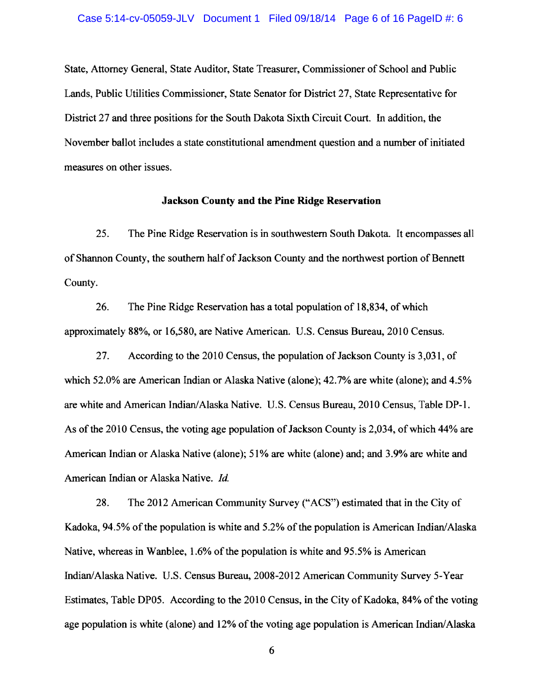State, Attorney General, State Auditor, State Treasurer, Commissioner of School and Public Lands, Public Utilities Commissioner, State Senator for District 27, State Representative for District 27 and three positions for the South Dakota Sixth Circuit Court. In addition, the November ballot includes a state constitutional amendment question and a number ofinitiated measures on other issues.

### **Jackson County and the Pine Ridge Reservation**

25. The Pine Ridge Reservation is in southwestern South Dakota. It encompasses all of Shannon County, the southern half of Jackson County and the northwest portion of Bennett County.

26. The Pine Ridge Reservation has a total population of 18,834, of which approximately 88%, or 16,580, are Native American. U.S. Census Bureau, 2010 Census.

27. According to the 2010 Census, the population of Jackson County is 3,031, of which 52.0% are American Indian or Alaska Native (alone); 42.7% are white (alone); and 4.5% are white and American Indian/Alaska Native. U.S. Census Bureau, 2010 Census, Table DP-l. As of the 2010 Census, the voting age population of Jackson County is 2,034, of which 44% are American Indian or Alaska Native (alone); 51 % are white (alone) and; and 3.9% are white and American Indian or Alaska Native. *[d.* 

28. The 2012 American Community Survey ("ACS") estimated that in the City of Kadoka, 94.5% of the population is white and 5.2% of the population is American Indian/Alaska Native, whereas in Wanblee, 1.6% of the population is white and 95.5% is American Indian/Alaska Native. U.S. Census Bureau, 2008-2012 American Community Survey 5-Year Estimates, Table DP05. According to the 2010 Census, in the City of Kadoka, 84% ofthe voting age population is white (alone) and  $12\%$  of the voting age population is American Indian/Alaska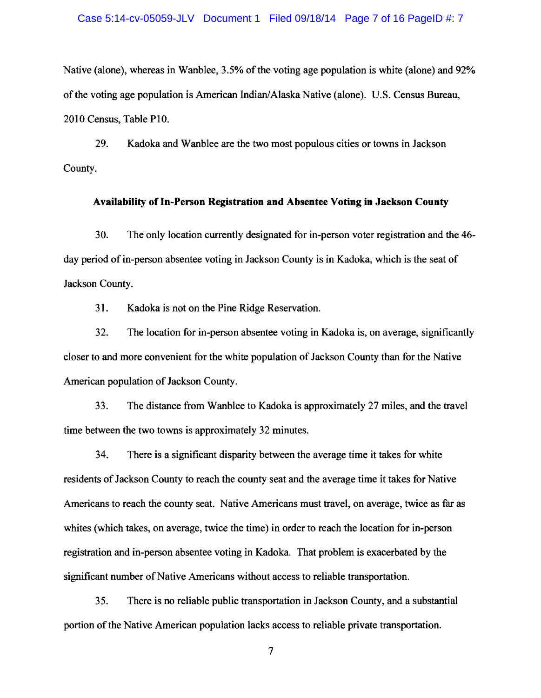#### Case 5:14-cv-05059-JLV Document 1 Filed 09/18/14 Page 7 of 16 PageID #: 7

Native (alone), whereas in Wanblee,  $3.5\%$  of the voting age population is white (alone) and  $92\%$ of the voting age population is American Indian/Alaska Native (alone). U.S. Census Bureau, 2010 Census, Table PIO.

29. Kadoka and Wanblee are the two most populous cities or towns in Jackson County.

## **Availability orIn-Person Registration and Absentee Voting in Jackson County**

30. The only location currently designated for in-person voter registration and the 46 day period of in-person absentee voting in Jackson County is in Kadoka, which is the seat of Jackson County.

31. Kadoka is not on the Pine Ridge Reservation.

32. The location for in-person absentee voting in Kadoka is, on average, significantly closer to and more convenient for the white population of Jackson County than for the Native American population of Jackson County.

33. The distance from Wanblee to Kadoka is approximately 27 miles, and the travel time between the two towns is approximately 32 minutes.

34. There is a significant disparity between the average time it takes for white residents of Jackson County to reach the county seat and the average time it takes for Native Americans to reach the county seat. Native Americans must travel, on average, twice as far as whites (which takes, on average, twice the time) in order to reach the location for in-person registration and in-person absentee voting in Kadoka. That problem is exacerbated by the significant number of Native Americans without access to reliable transportation.

35. There is no reliable public transportation in Jackson County, and a substantial portion of the Native American population lacks access to reliable private transportation.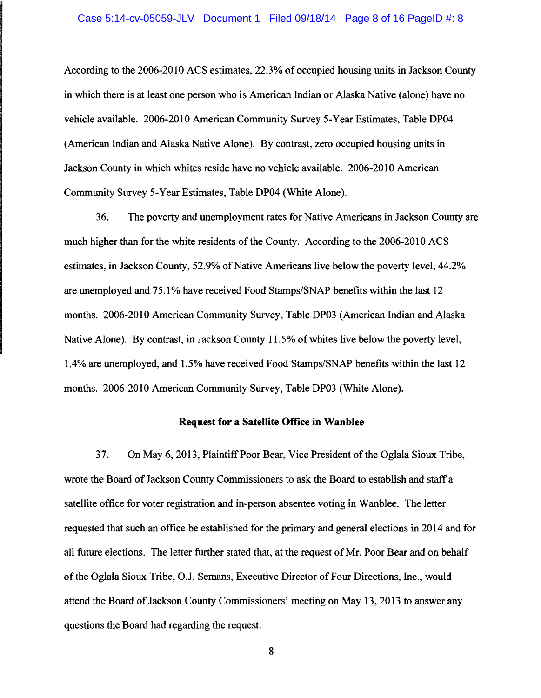According to the 2006-2010 ACS estimates, 22.3% of occupied housing units in Jackson County in which there is at least one person who is American Indian or Alaska Native (alone) have no vehicle available. 2006-2010 American Community Survey 5-Year Estimates, Table DP04 (American Indian and Alaska Native Alone). By contrast, zero occupied housing units in Jackson County in which whites reside have no vehicle available. 2006-2010 American Community Survey 5-Year Estimates, Table DP04 (White Alone).

36. The poverty and unemployment rates for Native Americans in Jackson County are much higher than for the white residents of the County. According to the 2006-2010 ACS estimates, in Jackson County, 52.9% of Native Americans live below the poverty level, 44.2% are unemployed and 75.1 % have received Food Stamps/SNAP benefits within the last 12 months. 2006-2010 American Community Survey, Table DP03 (American Indian and Alaska Native Alone). By contrast, in Jackson County 11.5% of whites live below the poverty level, 1.4% are unemployed, and 1.5% have received Food Stamps/SNAP benefits within the last 12 months. 2006-2010 American Community Survey, Table DP03 (White Alone).

## **Request for a Satellite Office in Wanblee**

37. On May 6, 2013, Plaintiff Poor Bear, Vice President of the Oglala Sioux Tribe, wrote the Board of Jackson County Commissioners to ask the Board to establish and staff a satellite office for voter registration and in-person absentee voting in Wanblee. The letter requested that such an office be established for the primary and general elections in 2014 and for all future elections. The letter further stated that, at the request ofMr. Poor Bear and on behalf ofthe Oglala Sioux Tribe, O.J. Semans, Executive Director ofFour Directions, Inc., would attend the Board of Jackson County Commissioners' meeting on May 13, 2013 to answer any questions the Board had regarding the request.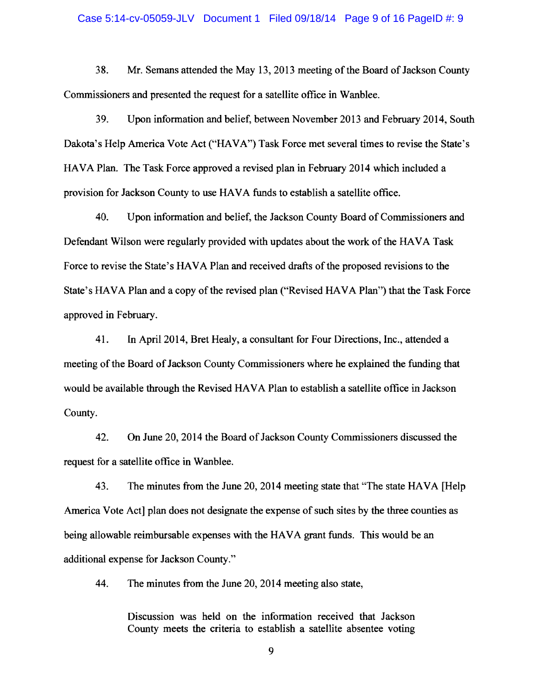#### Case 5:14-cv-05059-JLV Document 1 Filed 09/18/14 Page 9 of 16 PageID #: 9

38. Mr. Semans attended the May 13, 2013 meeting of the Board of Jackson County Commissioners and presented the request for a satellite office in Wanblee.

39. Upon information and belief, between November 2013 and February 2014, South Dakota's Help America Vote Act ("HAVA") Task Force met several times to revise the State's HAVA Plan. The Task Force approved a revised plan in February 2014 which included a provision for Jackson County to use HAVA funds to establish a satellite office.

40. Upon information and belief, the Jackson County Board of Commissioners and Defendant Wilson were regularly provided with updates about the work of the HAVA Task Force to revise the State's HAVA Plan and received drafts of the proposed revisions to the State's HAVA Plan and a copy of the revised plan ("Revised HAVA Plan") that the Task Force approved in February.

41. In April 2014, Bret Healy, a consultant for Four Directions, Inc., attended a meeting of the Board of Jackson County Commissioners where he explained the funding that would be available through the Revised HAVA Plan to establish a satellite office in Jackson County.

42. On June 20, 2014 the Board of Jackson County Commissioners discussed the request for a satellite office in Wanblee.

43. The minutes from the June 20,2014 meeting state that "The state HAVA [Help America Vote Act] plan does not designate the expense of such sites by the three counties as being allowable reimbursable expenses with the HAVA grant funds. This would be an additional expense for Jackson County."

44. The minutes from the June 20, 2014 meeting also state,

Discussion was held on the information received that Jackson County meets the criteria to establish a satellite absentee voting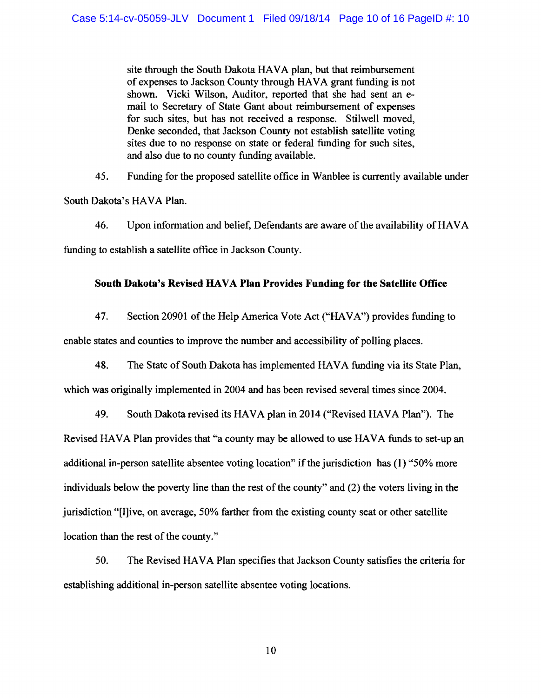site through the South Dakota HAVA plan, but that reimbursement of expenses to Jackson County through HAVA grant funding is not shown. Vicki Wilson, Auditor, reported that she had sent an email to Secretary of State Gant about reimbursement of expenses for such sites, but has not received a response. Stilwell moved, Denke seconded, that Jackson County not establish satellite voting sites due to no response on state or federal funding for such sites, and also due to no county funding available.

45. Funding for the proposed satellite office in Wanblee is currently available under South Dakota's HAVA Plan.

46. Upon information and belief, Defendants are aware of the availability of HAVA funding to establish a satellite office in Jackson County.

# **South Dakota's Revised HAVA Plan Provides Funding for the Satellite Office**

47. Section 20901 of the Help America Vote Act ("HAVA") provides funding to

enable states and counties to improve the number and accessibility of polling places.

48. The State of South Dakota has implemented HAVA funding via its State Plan, which was originally implemented in 2004 and has been revised several times since 2004.

49. South Dakota revised its HAVA plan in 2014 ("Revised HAVA Plan"). The Revised HAVA Plan provides that "a county may be allowed to use HAVA funds to set-up an additional in-person satellite absentee voting location" if the jurisdiction has  $(1)$  "50% more individuals below the poverty line than the rest of the county" and  $(2)$  the voters living in the jurisdiction "[l]ive, on average. 50% farther from the existing county seat or other satellite location than the rest of the county."

50. The Revised HAVA Plan specifies that Jackson County satisfies the criteria for establishing additional in-person satellite absentee voting locations.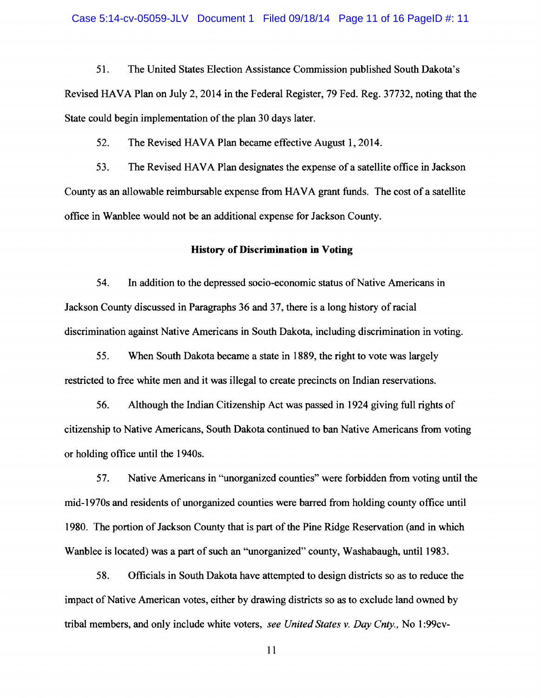51. The United States Election Assistance Commission published South Dakota's Revised HAVA Plan on July 2, 2014 in the Federal Register, 79 Fed. Reg. 37732, noting that the State could begin implementation of the plan 30 days later.

52. The Revised HAVA Plan became effective August 1, 2014.

53. The Revised HAVA Plan designates the expense of a satellite office in Jackson County as an allowable reimbursable expense from HAVA grant funds. The cost of a satellite office in Wanblee would not be an additional expense for Jackson County.

## **History of Discrimination in Voting**

54. In addition to the depressed socio-economic status of Native Americans in Jackson County discussed in Paragraphs 36 and 37, there is a long history ofracial discrimination against Native Americans in South Dakota, including discrimination in voting.

55. When South Dakota became a state in 1889, the right to vote was largely restricted to free white men and it was illegal to create precincts on Indian reservations.

56. Although the Indian Citizenship Act was passed in 1924 giving full rights of citizenship to Native Americans, South Dakota continued to ban Native Americans from voting or holding office until the 1940s.

57. Native Americans in "unorganized counties" were forbidden from voting until the mid-1970s and residents of unorganized counties were barred from holding county office until 1980. The portion of Jackson County that is part of the Pine Ridge Reservation (and in which Wanblee is located) was a part of such an "unorganized" county, Washabaugh, until 1983.

58. Officials in South Dakota have attempted to design districts so as to reduce the impact of Native American votes, either by drawing districts so as to exclude land owned by tribal members, and only include white voters, *see United States v. Day Cnty.,* No 1 :99cv-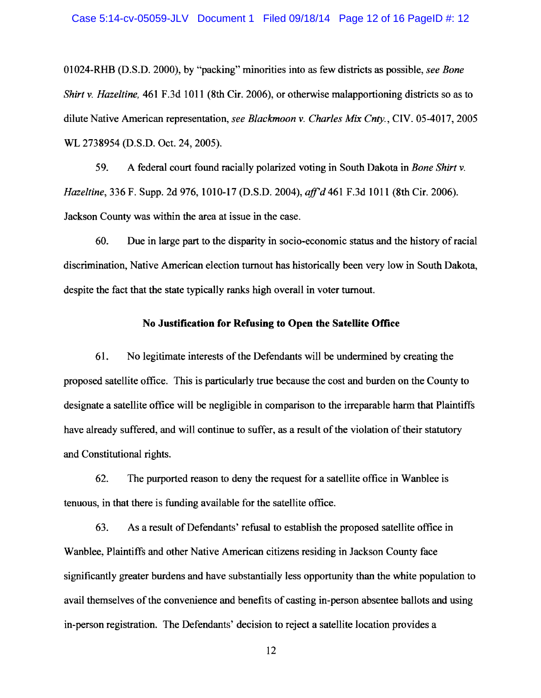OlO24·RHB (D.S.D. 2000), by "packing" minorities into as few districts as possible, *see Bone Shirt* v. *Hazeltine,* 461 F.3d 1011 (8th Cir. 2006), or otherwise malapportioning districts so as to dilute Native American representation, *see Blackmoon* v. *Charles Mix Cnty.,* CIV. 05·4017,2005 WL 2738954 (D.S.D. Oct. 24, 2005).

59. A federal court found racially polarized voting in South Dakota in *Bone Shirt* v. *Hazeltine,* 336 F. Supp. 2d 976, 10lO·17 (D.S.D. 2004), *affd461* F.3d 1011 (8th Cir. 2006). Jackson County was within the area at issue in the case.

60. Due in large part to the disparity in socio·economic status and the history of racial discrimination, Native American election turnout has historically been very low in South Dakota, despite the fact that the state typically ranks high overall in voter turnout.

## No Justification for Refusing to Open the Satellite Office

61. No legitimate interests of the Defendants will be undermined by creating the proposed satellite office. This is particularly true because the cost and burden on the County to designate a satellite office will be negligible in comparison to the irreparable harm that Plaintiffs have already suffered, and will continue to suffer, as a result of the violation of their statutory and Constitutional rights.

62. The purported reason to deny the request for a satellite office in Wanblee is tenuous, in that there is funding available for the satellite office.

63. As a result ofDefendants' refusal to establish the proposed satellite office in Wanblee, Plaintiffs and other Native American citizens residing in Jackson County face significantly greater burdens and have substantially less opportunity than the white population to avail themselves of the convenience and benefits of casting in-person absentee ballots and using in-person registration. The Defendants' decision to reject a satellite location provides a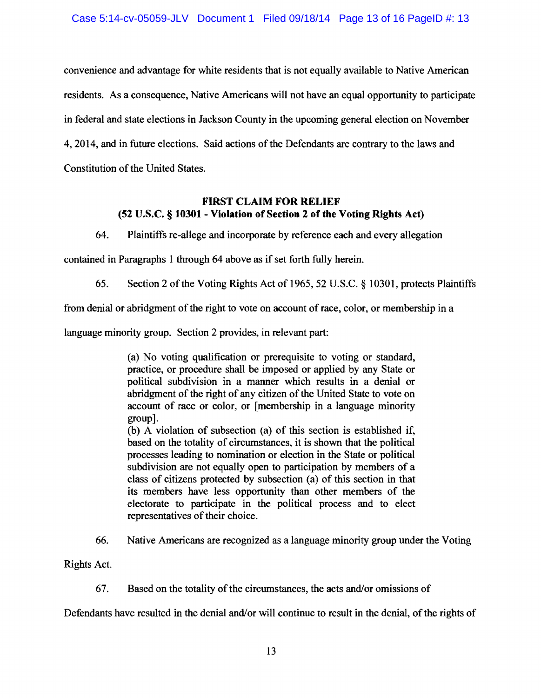convenience and advantage for white residents that is not equally available to Native American residents. As a consequence, Native Americans will not have an equal opportunity to participate in federal and state elections in Jackson County in the upcoming general election on November 4, 2014, and in future elections. Said actions of the Defendants are contrary to the laws and Constitution of the United States.

# FIRST CLAIM FOR RELIEF (52 U.S.C. § 10301 - Violation of Section 2 of the Voting Rights Act)

64. Plaintiffs re-allege and incorporate by reference each and every allegation

contained in Paragraphs 1 through 64 above as if set forth fully herein.

65. Section 2 of the Voting Rights Act of 1965, 52 U.S.C. § 10301, protects Plaintiffs

from denial or abridgment of the right to vote on account of race, color, or membership in a

language minority group. Section 2 provides, in relevant part:

(a) No voting qualification or prerequisite to voting or standard, practice, or procedure shall be imposed or applied by any State or political subdivision in a manner which results in a denial or abridgment of the right of any citizen of the United State to vote on account of race or color, or [membership in a language minority group].

(b) A violation of subsection (a) of this section is established if, based on the totality of circumstances, it is shown that the political processes leading to nomination or election in the State or political subdivision are not equally open to participation by members of a class of citizens protected by subsection (a) of this section in that its members have less opportunity than other members of the electorate to participate in the political process and to elect representatives of their choice.

66. Native Americans are recognized as a language minority group under the Voting

Rights Act.

67. Based on the totality of the circumstances, the acts and/or omissions of

Defendants have resulted in the denial and/or will continue to result in the denial, of the rights of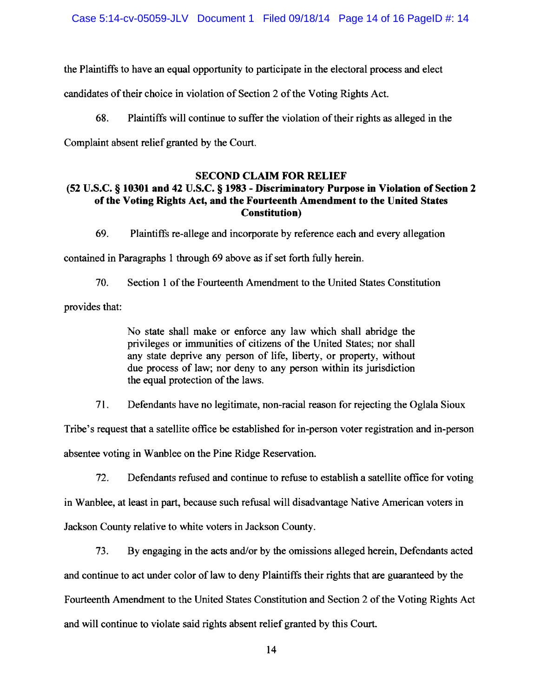the Plaintiffs to have an equal opportunity to participate in the electoral process and elect

candidates of their choice in violation of Section 2 of the Voting Rights Act.

68. Plaintiffs will continue to suffer the violation oftheir rights as alleged in the

Complaint absent relief granted by the Court.

# SECOND CLAIM FOR RELIEF

# (52 U.S.C. § 10301 and 42 U.S.C. § 1983 - Discriminatory Purpose in Violation of Section 2 of the Voting Rights Act, and the Fourteenth Amendment to the United States Constitution)

69. Plaintiffs re-allege and incorporate by reference each and every allegation

contained in Paragraphs 1 through 69 above as if set forth fully herein.

70. Section 1 of the Fourteenth Amendment to the United States Constitution

provides that:

No state shall make or enforce any law which shall abridge the privileges or immunities of citizens of the United States; nor shall any state deprive any person of life, liberty, or property, without due process of law; nor deny to any person within its jurisdiction the equal protection of the laws.

71. Defendants have no legitimate, non-racial reason for rejecting the Oglala Sioux

Tribe's request that a satellite office be established for in-person voter registration and in-person

absentee voting in Wanblee on the Pine Ridge Reservation.

72. Defendants refused and continue to refuse to establish a satellite office for voting

in Wanblee, at least in part, because such refusal will disadvantage Native American voters in Jackson County relative to white voters in Jackson County.

73. By engaging in the acts and/or by the omissions alleged herein, Defendants acted and continue to act under color of law to deny Plaintiffs their rights that are guaranteed by the Fourteenth Amendment to the United States Constitution and Section 2 of the Voting Rights Act and will continue to violate said rights absent relief granted by this Court.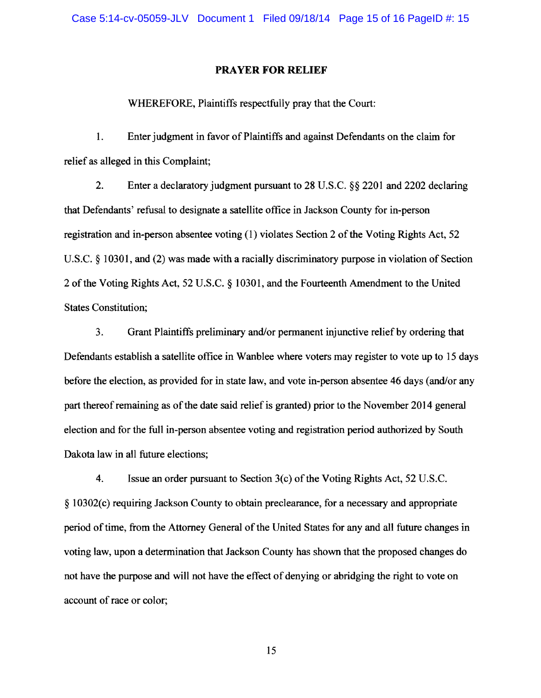### **PRAYER FOR RELIEF**

WHEREFORE, Plaintiffs respectfully pray that the Court:

1. Enter judgment in favor of Plaintiffs and against Defendants on the claim for relief as alleged in this Complaint;

2. Enter a declaratory judgment pursuant to 28 U.S.C. §§ 2201 and 2202 declaring that Defendants' refusal to designate a satellite office in Jackson County for in-person registration and in-person absentee voting (1) violates Section 2 of the Voting Rights Act, 52 U.S.C. § 1030I, and (2) was made with a racially discriminatory purpose in violation of Section 2 of the Voting Rights Act, 52 U.S.C. § 10301, and the Fourteenth Amendment to the United States Constitution;

3. Grant Plaintiffs preliminary and/or permanent injunctive relief by ordering that Defendants establish a satellite office in Wanblee where voters may register to vote up to 15 days before the election, as provided for in state law, and vote in-person absentee 46 days (and/or any part thereof remaining as of the date said relief is granted) prior to the November 2014 general election and for the full in-person absentee voting and registration period authorized by South Dakota law in all future elections;

4. Issue an order pursuant to Section  $3(c)$  of the Voting Rights Act, 52 U.S.C. § 1 0302( c) requiring Jackson County to obtain preclearance, for a necessary and appropriate period of time, from the Attorney General of the United States for any and all future changes in voting law, upon a determination that Jackson County has shown that the proposed changes do not have the purpose and will not have the effect of denying or abridging the right to vote on account of race or color;